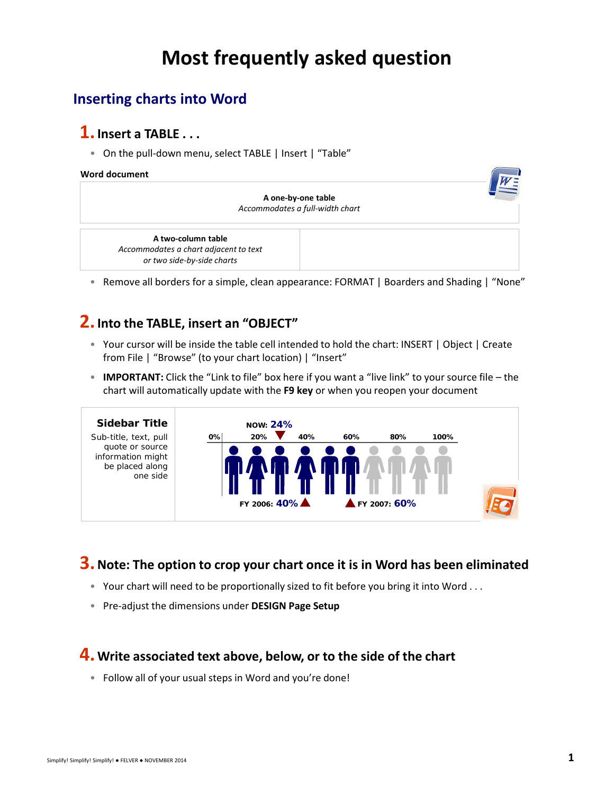# **Most frequently asked question**

## **Inserting charts into Word**

### **1.Insert a TABLE . . .**

• On the pull-down menu, select TABLE | Insert | "Table"

#### **Word document**

| A one-by-one table<br>Accommodates a full-width chart                                     |  |
|-------------------------------------------------------------------------------------------|--|
| A two-column table<br>Accommodates a chart adjacent to text<br>or two side-by-side charts |  |

 • Remove all borders for a simple, clean appearance: FORMAT | Boarders and Shading | "None"

### **2.Into the TABLE, insert an "OBJECT"**

- • Your cursor will be inside the table cell intended to hold the chart: INSERT | Object | Create from File | "Browse" (to your chart location) | "Insert"
- **IMPORTANT:** Click the "Link to file" box here if you want a "live link" to your source file the chart will automatically update with the **F9 key** or when you reopen your document



## **3.Note: The option to crop your chart once it is in Word has been eliminated**

- Your chart will need to be proportionally sized to fit before you bring it into Word . . .
- Pre-adjust the dimensions under **DESIGN Page Setup**

#### **4. Write associated text above, below, or to the side of the chart**

• Follow all of your usual steps in Word and you're done!